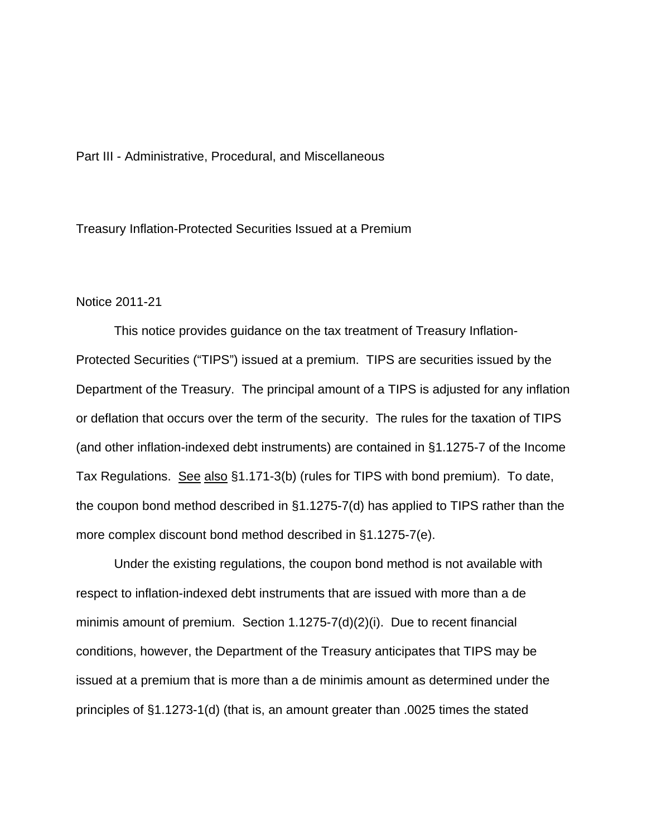Part III - Administrative, Procedural, and Miscellaneous

Treasury Inflation-Protected Securities Issued at a Premium

## Notice 2011-21

This notice provides guidance on the tax treatment of Treasury Inflation-Protected Securities ("TIPS") issued at a premium. TIPS are securities issued by the Department of the Treasury. The principal amount of a TIPS is adjusted for any inflation or deflation that occurs over the term of the security. The rules for the taxation of TIPS (and other inflation-indexed debt instruments) are contained in §1.1275-7 of the Income Tax Regulations. See also §1.171-3(b) (rules for TIPS with bond premium). To date, the coupon bond method described in §1.1275-7(d) has applied to TIPS rather than the more complex discount bond method described in §1.1275-7(e).

Under the existing regulations, the coupon bond method is not available with respect to inflation-indexed debt instruments that are issued with more than a de minimis amount of premium. Section 1.1275-7(d)(2)(i). Due to recent financial conditions, however, the Department of the Treasury anticipates that TIPS may be issued at a premium that is more than a de minimis amount as determined under the principles of §1.1273-1(d) (that is, an amount greater than .0025 times the stated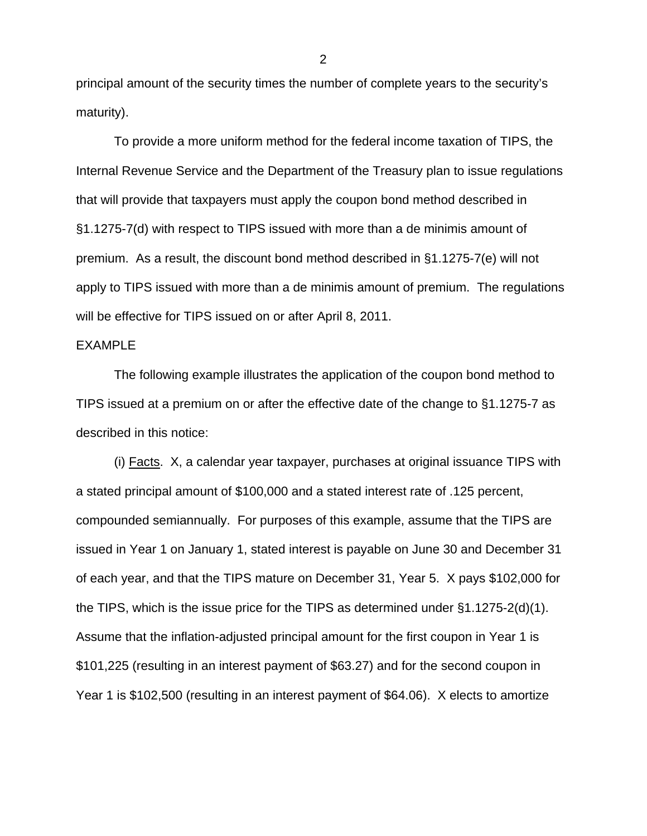principal amount of the security times the number of complete years to the security's maturity).

To provide a more uniform method for the federal income taxation of TIPS, the Internal Revenue Service and the Department of the Treasury plan to issue regulations that will provide that taxpayers must apply the coupon bond method described in §1.1275-7(d) with respect to TIPS issued with more than a de minimis amount of premium. As a result, the discount bond method described in §1.1275-7(e) will not apply to TIPS issued with more than a de minimis amount of premium. The regulations will be effective for TIPS issued on or after April 8, 2011.

## EXAMPLE

The following example illustrates the application of the coupon bond method to TIPS issued at a premium on or after the effective date of the change to §1.1275-7 as described in this notice:

(i) Facts. X, a calendar year taxpayer, purchases at original issuance TIPS with a stated principal amount of \$100,000 and a stated interest rate of .125 percent, compounded semiannually. For purposes of this example, assume that the TIPS are issued in Year 1 on January 1, stated interest is payable on June 30 and December 31 of each year, and that the TIPS mature on December 31, Year 5. X pays \$102,000 for the TIPS, which is the issue price for the TIPS as determined under §1.1275-2(d)(1). Assume that the inflation-adjusted principal amount for the first coupon in Year 1 is \$101,225 (resulting in an interest payment of \$63.27) and for the second coupon in Year 1 is \$102,500 (resulting in an interest payment of \$64.06). X elects to amortize

2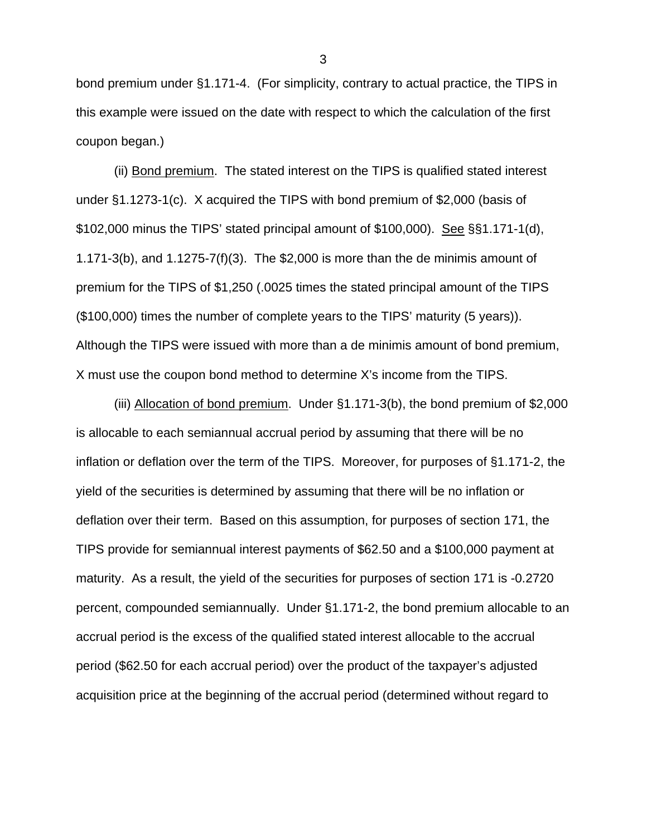bond premium under §1.171-4. (For simplicity, contrary to actual practice, the TIPS in this example were issued on the date with respect to which the calculation of the first coupon began.)

 (ii) Bond premium. The stated interest on the TIPS is qualified stated interest under §1.1273-1(c). X acquired the TIPS with bond premium of \$2,000 (basis of \$102,000 minus the TIPS' stated principal amount of \$100,000). See §§1.171-1(d), 1.171-3(b), and 1.1275-7(f)(3). The  $$2,000$  is more than the de minimis amount of premium for the TIPS of \$1,250 (.0025 times the stated principal amount of the TIPS (\$100,000) times the number of complete years to the TIPS' maturity (5 years)). Although the TIPS were issued with more than a de minimis amount of bond premium, X must use the coupon bond method to determine X's income from the TIPS.

 (iii) Allocation of bond premium. Under §1.171-3(b), the bond premium of \$2,000 is allocable to each semiannual accrual period by assuming that there will be no inflation or deflation over the term of the TIPS. Moreover, for purposes of §1.171-2, the yield of the securities is determined by assuming that there will be no inflation or deflation over their term. Based on this assumption, for purposes of section 171, the TIPS provide for semiannual interest payments of \$62.50 and a \$100,000 payment at maturity. As a result, the yield of the securities for purposes of section 171 is -0.2720 percent, compounded semiannually. Under §1.171-2, the bond premium allocable to an accrual period is the excess of the qualified stated interest allocable to the accrual period (\$62.50 for each accrual period) over the product of the taxpayer's adjusted acquisition price at the beginning of the accrual period (determined without regard to

3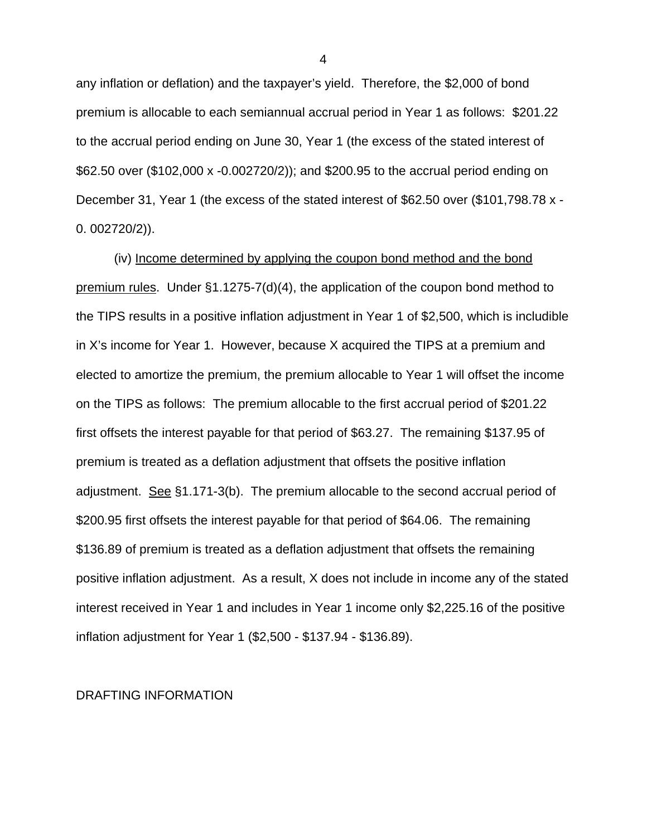any inflation or deflation) and the taxpayer's yield. Therefore, the \$2,000 of bond premium is allocable to each semiannual accrual period in Year 1 as follows: \$201.22 to the accrual period ending on June 30, Year 1 (the excess of the stated interest of \$62.50 over (\$102,000 x -0.002720/2)); and \$200.95 to the accrual period ending on December 31, Year 1 (the excess of the stated interest of \$62.50 over (\$101,798.78 x - 0. 002720/2)).

 (iv) Income determined by applying the coupon bond method and the bond premium rules. Under §1.1275-7(d)(4), the application of the coupon bond method to the TIPS results in a positive inflation adjustment in Year 1 of \$2,500, which is includible in X's income for Year 1. However, because X acquired the TIPS at a premium and elected to amortize the premium, the premium allocable to Year 1 will offset the income on the TIPS as follows: The premium allocable to the first accrual period of \$201.22 first offsets the interest payable for that period of \$63.27. The remaining \$137.95 of premium is treated as a deflation adjustment that offsets the positive inflation adjustment. See §1.171-3(b). The premium allocable to the second accrual period of \$200.95 first offsets the interest payable for that period of \$64.06. The remaining \$136.89 of premium is treated as a deflation adjustment that offsets the remaining positive inflation adjustment. As a result, X does not include in income any of the stated interest received in Year 1 and includes in Year 1 income only \$2,225.16 of the positive inflation adjustment for Year 1 (\$2,500 - \$137.94 - \$136.89).

## DRAFTING INFORMATION

4